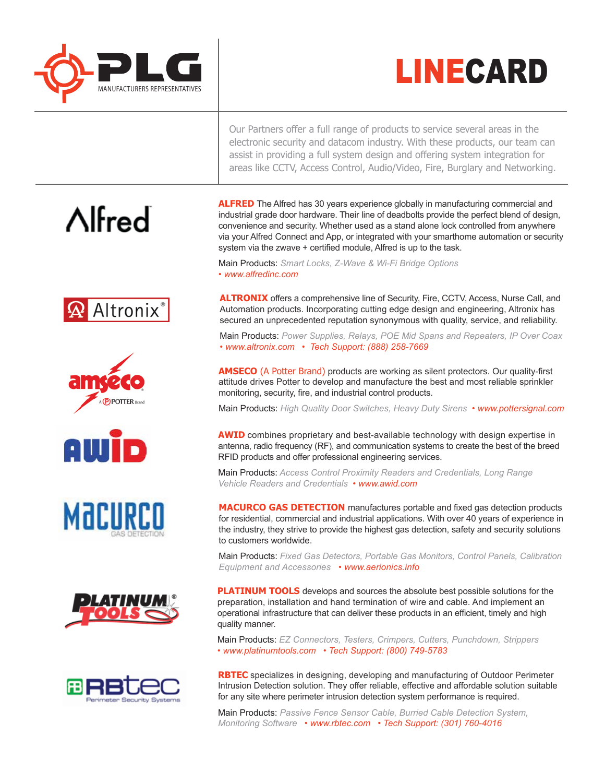



Our Partners offer a full range of products to service several areas in the electronic security and datacom industry. With these products, our team can assist in providing a full system design and offering system integration for areas like CCTV, Access Control, Audio/Video, Fire, Burglary and Networking.

**ALFRED** The Alfred has 30 years experience globally in manufacturing commercial and industrial grade door hardware. Their line of deadbolts provide the perfect blend of design, convenience and security. Whether used as a stand alone lock controlled from anywhere via your Alfred Connect and App, or integrated with your smarthome automation or security system via the zwave + certified module, Alfred is up to the task.

Main Products: *Smart Locks, Z-Wave & Wi-Fi Bridge Options • www.alfredinc.com*

**ALTRONIX** offers a comprehensive line of Security, Fire, CCTV, Access, Nurse Call, and Automation products. Incorporating cutting edge design and engineering, Altronix has secured an unprecedented reputation synonymous with quality, service, and reliability.

Main Products: *Power Supplies, Relays, POE Mid Spans and Repeaters, IP Over Coax • www.altronix.com • Tech Support: (888) 258-7669*

**AMSECO** (A Potter Brand) products are working as silent protectors. Our quality-first attitude drives Potter to develop and manufacture the best and most reliable sprinkler monitoring, security, fire, and industrial control products.

Main Products: *High Quality Door Switches, Heavy Duty Sirens • www.pottersignal.com* 

**AWID** combines proprietary and best-available technology with design expertise in antenna, radio frequency (RF), and communication systems to create the best of the breed RFID products and offer professional engineering services.

Main Products: *Access Control Proximity Readers and Credentials, Long Range Vehicle Readers and Credentials • www.awid.com*

**MACURCO GAS DETECTION** manufactures portable and fixed gas detection products for residential, commercial and industrial applications. With over 40 years of experience in the industry, they strive to provide the highest gas detection, safety and security solutions to customers worldwide.

Main Products: *Fixed Gas Detectors, Portable Gas Monitors, Control Panels, Calibration Equipment and Accessories • www.aerionics.info*

**PLATINUM TOOLS** develops and sources the absolute best possible solutions for the preparation, installation and hand termination of wire and cable. And implement an operational infrastructure that can deliver these products in an efficient, timely and high quality manner.

Main Products: *EZ Connectors, Testers, Crimpers, Cutters, Punchdown, Strippers • www.platinumtools.com • Tech Support: (800) 749-5783*

**RBTEC** specializes in designing, developing and manufacturing of Outdoor Perimeter Intrusion Detection solution. They offer reliable, effective and affordable solution suitable for any site where perimeter intrusion detection system performance is required.

Main Products: *Passive Fence Sensor Cable, Burried Cable Detection System, Monitoring Software • www.rbtec.com • Tech Support: (301) 760-4016*

# $\Lambda$ Ifred